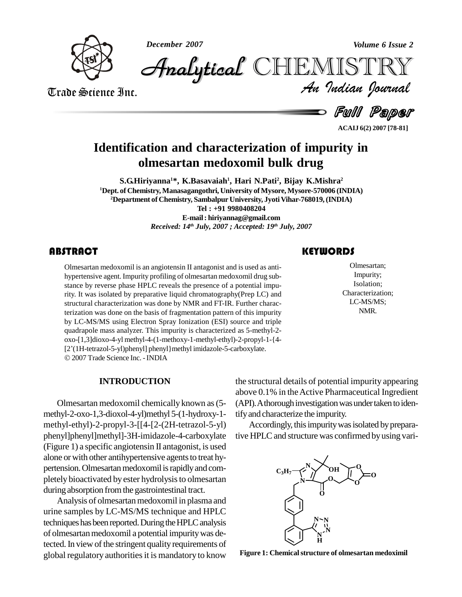*December 2007 Volume 6 Issue 2*



*Volume 6 Issue 2*<br>IISTRY<br>*Indian Iournal*  $\mathscr{F}_{\!\textit{malytical}}$  CHIEMIST

Trade Science Inc.

**Full Paper** 

**ACAIJ 6(2) 2007 [78-81]**

# **Identification and characterization of impurity in olmesartan medoxomil bulk drug**

**S.G.Hiriyanna <sup>1</sup>\*, K.Basavaiah 1 , Hari N.Pati<sup>2</sup> , Bijay K.Mishra 2 <sup>1</sup>Dept. of Chemistry, Manasagangothri, University ofMysore, Mysore-570006 (INDIA)** <sup>2</sup>Department of Chemistry, Sambalpur University, Jyoti Vihar-768019, (INDIA) **Tel : +91 9980408204**

**E-mail: [hiriyannag@gmail.com](mailto:hiriyannag@gmail.com)** *Received: 14 th July, 2007 ; Accepted: 19 th July, 2007*

### **ABSTRACT**

Olmesartan medoxomil is an angiotensin II antagonist and is used as anti-<br>hypertensive agent. Impurity profiling of olmesartan medoxomil drug sub-<br>stance by reverse phase HPLC reveals the presence of a potential impu-Olmesartan medoxomil is an angiotensin II antagonist and is used as anti hypertensive agent. Impurity profiling of olmesartan medoxomil drug sub rity. It was isolated by preparative liquid chromatography(Prep LC) and structural characterization was done by NMR and FT-IR. Further characterization was done on the basis of fragmentation pattern of this impurity by LC-MS/MS using Electron Spray Ionization (ESI) source and triple quadrapole mass analyzer. This impurity is characterized as 5-methyl-2 oxo-[1,3]dioxo-4-yl methyl-4-(1-methoxy-1-methyl-ethyl)-2-propyl-1-{4 quadrapole mass analyzer. This impurity is characterized as 5-methyl-2-<br>oxo-[1,3]dioxo-4-yl methyl-4-(1-methoxy-1-methyl-ethyl)-2-propyl-1-{4-<br>[2'(1H-tetrazol-5-yl)phenyl] phenyl}methyl imidazole-5-carboxylate. 2007Trade Science Inc. -INDIA

## **KEYWORDS**

Olmesartan;<br>
Impurity;<br>
Isolation; Olmesartan; Impurity; Isolation; Characterization; LC-MS/MS; NMR.

## **INTRODUCTION**

Olmesartan medoxomil chemicallyknown as(5 methyl-2-oxo-1,3-dioxol-4-yl)methyl 5-(1-hydroxy-1 methyl-ethyl)-2-propyl-3-[[4-[2-(2H-tetrazol-5-yl) phenyl]phenyl]methyl]-3H-imidazole-4-carboxylate (Figure 1) a specific angiotensin II antagonist, is used alone or with other antihypertensive agents to treat hypertension. Olmesartan medoxomil is rapidly and completely bioactivated byester hydrolysisto olmesartan during absorption from the gastrointestinal tract.

Analysis of olmesartan medoxomil in plasma and urine samples by LC-MS/MS technique and HPLC techniques has been reported. During the HPLC analysis of olmesartanmedoxomil a potential impuritywas detected. In view of the stringent quality requirements of global regulatory authorities it is mandatory to know

the structural details of potential impurity appearing above 0.1% in the Active Pharmaceutical Ingredient (API). A thorough investigation was under taken to identifyand characterize the impurity.

Accordingly, this impurity was isolated by preparative HPLC and structure was confirmed by using vari-



**Figure 1: Chemicalstructure of olmesartan medoximil**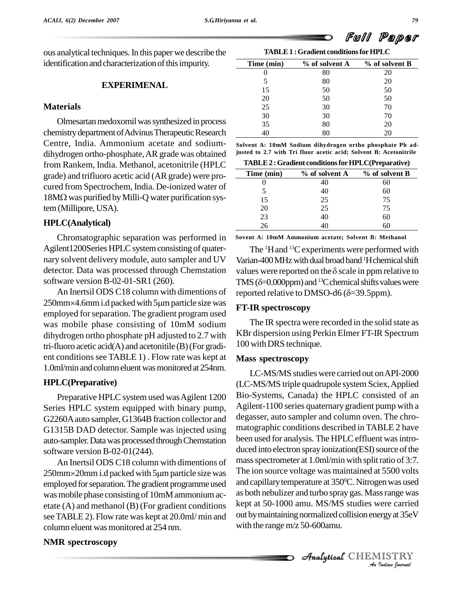ous analytical techniques.In this paperwe describe the identification and characterization of this impurity.

#### **EXPERIMENAL**

#### **Materials**

Olmesartan medoxomil was synthesized in process chemistry department of Advinus Therapeutic Research Centre, India. Ammonium acetate and sodium dihydrogen ortho-phosphate,ARgrade was obtained from Rankem, India. Methanol, acetonitrile (HPLC grade) and trifluoro acetic acid (ARgrade) were pro cured from Spectrochem, India. De-ionized water of grade) and trifluoro acetic acid (AR grade) were procured from Spectrochem, India. De-ionized water of<br>18MΩ was purified by Milli-Q water purification system (Millipore, USA).

### **HPLC(Analytical)**

Chromatographic separation was performed in Agilent1200Series HPLC system consisting of quaternary solvent delivery module, auto sampler and UV detector. Data was processed through Chemstation software version B-02-01-SR1 (260).

250mm×4.6mm i.d packed with 5µm particle size was employed forseparation. The gradient program used was mobile phase consisting of 10mM sodium dihydrogen ortho phosphate pH adjusted to 2.7 with tri-fluoro acetic acid(A) and acetonitile (B)(For gradi ent conditions see TABLE 1). Flow rate was kept at 1.0ml/min andcolumneluentwasmonitoredat 254nm.

#### **HPLC(Preparative)**

Preparative HPLC system used was Agilent 1200 Series HPLC system equipped with binary pump, G2260A auto sampler, G1364B fraction collector and G1315B DAD detector. Sample was injected using auto-sampler. Data was processed through Chemstation software version B-02-01(244).

An Inertsil ODS C18 column with dimentions of  $250$ mm $\times$ 20mm i.d packed with  $5 \mu$ m particle size was employed for separation. The gradient programme used was mobile phase consisting of 10mM ammonium acetate (A) and methanol (B) (For gradient conditions seeTABLE 2). Flow rate was kept at 20.0ml/ min and column eluent was monitored at 254 nm.

#### **TABLE1 :Gradient conditionsforHPLC Time (min) % of solvent A % of solvent B** 0 80 20 5 80 20 15 50 50 20 50 50 50 25 30 70 30 30 70 35 80 20

40 80 20

**Solvent A: 10mM Sodium dihydrogen ortho phosphate Ph adjusted to 2.7 with Tri fluor acetic acid; Solvent B: Acetonitrile**

**TABLE2 :Gradient conditionsforHPLC(Preparative)**

| Time (min) | % of solvent A | % of solvent B |  |
|------------|----------------|----------------|--|
|            |                |                |  |
|            | 40             |                |  |
| 15         | 25             | 75             |  |
| 20         | 25             | 75             |  |
| 23         | 40             | 6U             |  |
| 76         |                |                |  |

**Sovent A: 10mM Ammonium acetate; Solvent B: Methanol**

An Inertsil ODS C18 column with dimentions of reported relative to DMSO-d6  $(\delta=39.5$ ppm). The <sup>1</sup>H and <sup>13</sup>C experiments were performed with Varian-400 MHz with dual broad band <sup>1</sup>H chemical shift The <sup>1</sup>H and <sup>13</sup>C experiments were performed with<br>Varian-400 MHz with dual broad band <sup>1</sup>H chemical shift<br>values were reported on the  $\delta$  scale in ppm relative to Varian-400 MHz with dual broad b<br>values were reported on the  $\delta$  sca<br>TMS ( $\delta$ =0.000ppm) and <sup>13</sup>C chemi TMS ( $\delta$ =0.000ppm) and <sup>13</sup>C chemical shifts values were values were reported on the  $\delta$  scale in ppm relative to

#### **FT-IR spectroscopy**

The IR spectra were recorded in the solid state as KBr dispersion using Perkin Elmer FT-IR Spectrum 100 with DRS technique.

#### **Mass spectroscopy**

*Analytical* CHEMISTRY<br> *Analytical* CHEMISTRY<br> *Analytical* CHEMISTRY LC-MS/MS studies were carried out onAPI-2000 (LC-MS/MS triple quadrupole system Sciex,Applied Bio-Systems, Canada) the HPLC consisted of an Agilent-1100 series quaternary gradient pump with a degasser, auto sampler and column oven. The chro matographic conditions described in TABLE 2 have been used for analysis. The HPLC effluent was introduced into electron spray ionization(ESI) source of the mass spectrometer at 1.0ml/min with split ratio of 3:7. The ion source voltage was maintained at 5500 volts and capillarytemperature at 350 <sup>0</sup>C.Nitrogenwas used as both nebulizer and turbo spray gas.Massrange was out bymaintainingnormalized collision energyat 35eV with the range m/z 50-600amu.

#### **NMR spectroscopy**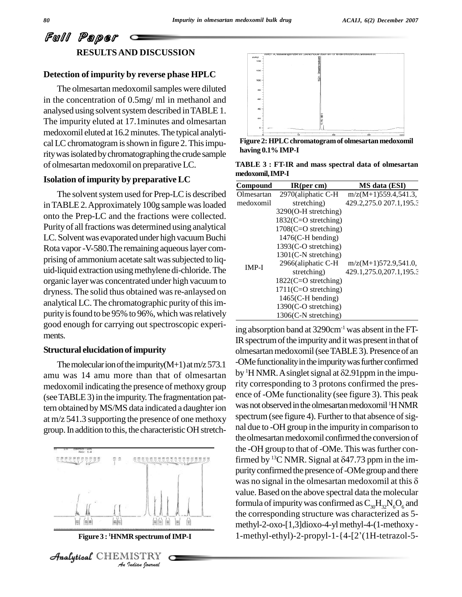# Full Paper **RESULTSAND DISCUSSION**

## **Detection of impurity by reverse phase HPLC**

The olmesartan medoxomil samples were diluted in the concentration of 0.5mg/ ml in methanol and analysed using solvent system described in TABLE 1. The impurity eluted at 17.1minutes and olmesartan medoxomil eluted at 16.2minutes.The typical analyti cal LC chromatogram is shown in figure 2. This impurity was isolated by chromatographing the crude sample of olmesartan medoxomil on preparative LC.

### **Isolation of impurity by preparativeLC**

The solvent system used for Prep-LC is described inTABLE2.Approximately 100g sample wasloaded onto the Prep-LC and the fractions were collected. Purity of all fractions was determined using analytical LC. Solvent was evaporated under high vacuum Buchi Rota vapor - V-580. The remaining aqueous layer comprising of ammonium acetate salt was subjected to liquid-liquid extraction usingmethylene di-chloride.The organic layer was concentrated under high vacuum to dryness. The solid thus obtained was re-anlaysed on analytical LC. The chromatographic purity of this impurity is found to be 95% to 96%, which was relatively good enough for carrying out spectroscopic experi ments.

#### **Structural elucidation of impurity**

The molecular ion of the impurity $(M+1)$  at m/z 573.1 amu was 14 amu more than that of olmesartan medoxomil indicating the presence of methoxy group (see TABLE 3) in the impurity. The fragmentation pattern obtained by MS/MS data indicated a daughter ion at m/z 541.3 supporting the presence of one methoxy group. In addition to this, the characteristic OH stretch-



**Figure 3 : <sup>1</sup>HNMR spectrumofIMP-I**

**Analytical** CHEMISTRY



**Figure 2: HPLCchromatogramof olmesartan medoxomil having 0.1%IMP-I**

**TABLE 3 : FT-IR and mass spectral data ofolmesartan medoxomil,IMP-I**

| Compound   | IR(per cm)              | MS data (ESI)           |
|------------|-------------------------|-------------------------|
| Olmesartan | 2970(aliphatic C-H      | $m/z(M+1)559.4,541.3,$  |
| medoxomil  | stretching)             | 429.2,275.0 207.1,195.3 |
|            | $3290(O-H stretching)$  |                         |
|            | 1832(C=O stretching)    |                         |
|            | $1708$ (C=O stretching) |                         |
|            | $1476(C-H bending)$     |                         |
|            | $1393(C-O stretching)$  |                         |
|            | $1301$ (C-N stretching) |                         |
| $IMP-I$    | 2966(aliphatic C-H      | $m/z(M+1)572.9,541.0$   |
|            | stretching)             | 429.1,275.0,207.1,195.3 |
|            | $1822(C=O$ stretching)  |                         |
|            | $1711(C=O$ stretching)  |                         |
|            | $1465$ (C-H bending)    |                         |
|            | 1390(C-O stretching)    |                         |
|            | $1306(C-N$ stretching)  |                         |

ing absorption band at 3290cm-1 was absent in the FT-IR spectrum of the impurity and it was present in that of olmesartan medoxomil (see TABLE 3). Presence of an -OMe functionality in the impurity was further confirmed olmesartan medoxomil (see TABLE 3). Presence of an<br>-OMe functionality in the impurity was further confirmed<br>by <sup>1</sup>H NMR. A singlet signal at  $\delta$ 2.91ppm in the impurity corresponding to 3 protons confirmed the pres ence of -OMe functionality (see figure 3). This peak was not observed in the olmesartan medoxomil <sup>1</sup>HNMR spectrum (see figure 4). Further to that absence of signal due to -OH group in the impurity in comparison to the olmesartan medoxomil confirmed the conversion of the -OH group to that of -OMe. This was further conthe olmesartan medoxomil confirmed the conversion of<br>the -OH group to that of -OMe. This was further con-<br>firmed by <sup>13</sup>C NMR. Signal at  $\delta$ 47.73 ppm in the impurity confirmed the presence of -OMe group and there firmed by <sup>13</sup>C NMR. Signal at  $\delta$ 47.73 ppm in the impurity confirmed the presence of -OMe group and there was no signal in the olmesartan medoxomil at this  $\delta$ value.Based on the above spectral data the molecular formula of impurity was confirmed as  $C_{30}H_{32}N_{6}O_{6}$  and the corresponding structure was characterized as 5-<br>methyl-2-oxo-[1,3]dioxo-4-yl methyl-4-(1-methoxy-<br>1-methyl-ethyl)-2-propyl-1-{4-[2′(1H-tetrazol-5methyl-2-oxo-[1,3]dioxo-4-ylmethyl-4-(1-methoxy-